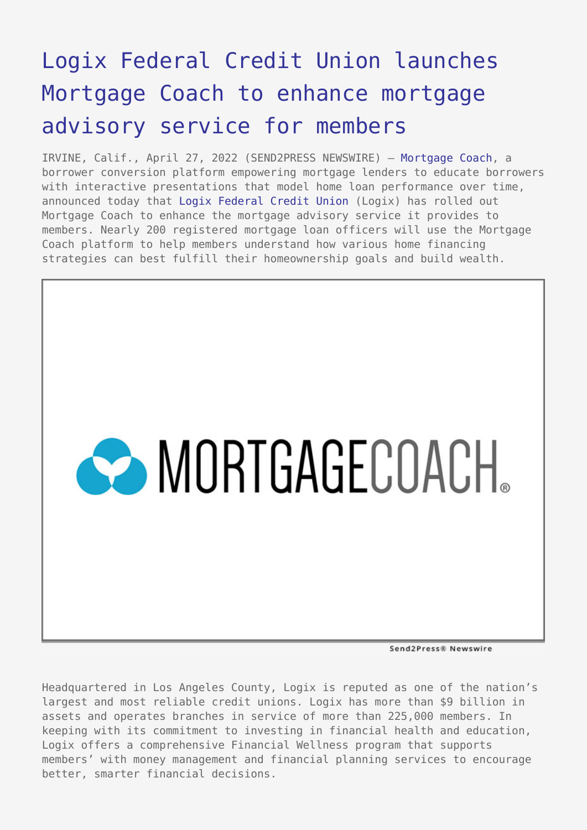## [Logix Federal Credit Union launches](https://www.send2press.com/wire/logix-federal-credit-union-launches-mortgage-coach-to-enhance-mortgage-advisory-service-for-members/) [Mortgage Coach to enhance mortgage](https://www.send2press.com/wire/logix-federal-credit-union-launches-mortgage-coach-to-enhance-mortgage-advisory-service-for-members/) [advisory service for members](https://www.send2press.com/wire/logix-federal-credit-union-launches-mortgage-coach-to-enhance-mortgage-advisory-service-for-members/)

IRVINE, Calif., April 27, 2022 (SEND2PRESS NEWSWIRE) — [Mortgage Coach](http://www.mortgagecoach.com/), a borrower conversion platform empowering mortgage lenders to educate borrowers with interactive presentations that model home loan performance over time, announced today that [Logix Federal Credit Union](https://www.logixbanking.com/) (Logix) has rolled out Mortgage Coach to enhance the mortgage advisory service it provides to members. Nearly 200 registered mortgage loan officers will use the Mortgage Coach platform to help members understand how various home financing strategies can best fulfill their homeownership goals and build wealth.



Send2Press® Newswire

Headquartered in Los Angeles County, Logix is reputed as one of the nation's largest and most reliable credit unions. Logix has more than \$9 billion in assets and operates branches in service of more than 225,000 members. In keeping with its commitment to investing in financial health and education, Logix offers a comprehensive Financial Wellness program that supports members' with money management and financial planning services to encourage better, smarter financial decisions.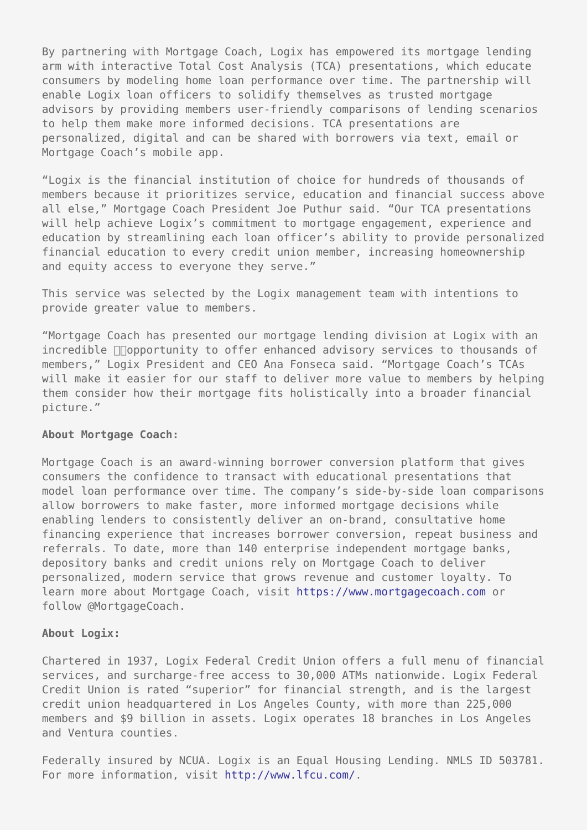By partnering with Mortgage Coach, Logix has empowered its mortgage lending arm with interactive Total Cost Analysis (TCA) presentations, which educate consumers by modeling home loan performance over time. The partnership will enable Logix loan officers to solidify themselves as trusted mortgage advisors by providing members user-friendly comparisons of lending scenarios to help them make more informed decisions. TCA presentations are personalized, digital and can be shared with borrowers via text, email or Mortgage Coach's mobile app.

"Logix is the financial institution of choice for hundreds of thousands of members because it prioritizes service, education and financial success above all else," Mortgage Coach President Joe Puthur said. "Our TCA presentations will help achieve Logix's commitment to mortgage engagement, experience and education by streamlining each loan officer's ability to provide personalized financial education to every credit union member, increasing homeownership and equity access to everyone they serve."

This service was selected by the Logix management team with intentions to provide greater value to members.

"Mortgage Coach has presented our mortgage lending division at Logix with an  $incredible$   $\Box$ Opportunity to offer enhanced advisory services to thousands of members," Logix President and CEO Ana Fonseca said. "Mortgage Coach's TCAs will make it easier for our staff to deliver more value to members by helping them consider how their mortgage fits holistically into a broader financial picture."

## **About Mortgage Coach:**

Mortgage Coach is an award-winning borrower conversion platform that gives consumers the confidence to transact with educational presentations that model loan performance over time. The company's side-by-side loan comparisons allow borrowers to make faster, more informed mortgage decisions while enabling lenders to consistently deliver an on-brand, consultative home financing experience that increases borrower conversion, repeat business and referrals. To date, more than 140 enterprise independent mortgage banks, depository banks and credit unions rely on Mortgage Coach to deliver personalized, modern service that grows revenue and customer loyalty. To learn more about Mortgage Coach, visit [https://www.mortgagecoach.com](https://mortgagecoach.com/) or follow @MortgageCoach.

## **About Logix:**

Chartered in 1937, Logix Federal Credit Union offers a full menu of financial services, and surcharge-free access to 30,000 ATMs nationwide. Logix Federal Credit Union is rated "superior" for financial strength, and is the largest credit union headquartered in Los Angeles County, with more than 225,000 members and \$9 billion in assets. Logix operates 18 branches in Los Angeles and Ventura counties.

Federally insured by NCUA. Logix is an Equal Housing Lending. NMLS ID 503781. For more information, visit <http://www.lfcu.com/>.